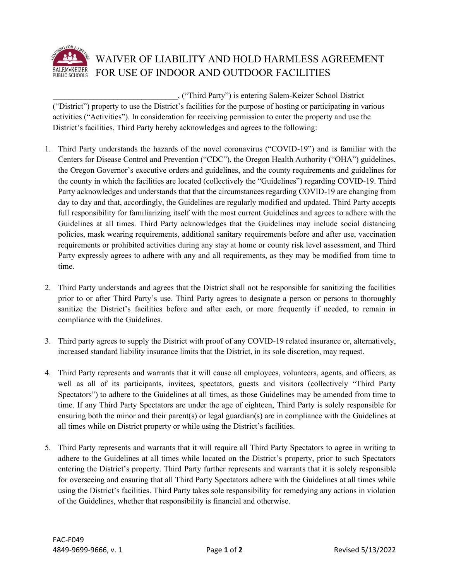

## WAIVER OF LIABILITY AND HOLD HARMLESS AGREEMENT FOR USE OF INDOOR AND OUTDOOR FACILITIES

\_\_\_\_\_\_\_\_\_\_\_\_\_\_\_\_\_\_\_\_\_\_\_\_\_\_\_\_\_\_\_, ("Third Party") is entering Salem-Keizer School District ("District") property to use the District's facilities for the purpose of hosting or participating in various activities ("Activities"). In consideration for receiving permission to enter the property and use the District's facilities, Third Party hereby acknowledges and agrees to the following:

- 1. Third Party understands the hazards of the novel coronavirus ("COVID-19") and is familiar with the Centers for Disease Control and Prevention ("CDC"), the Oregon Health Authority ("OHA") guidelines, the Oregon Governor's executive orders and guidelines, and the county requirements and guidelines for the county in which the facilities are located (collectively the "Guidelines") regarding COVID-19. Third Party acknowledges and understands that that the circumstances regarding COVID-19 are changing from day to day and that, accordingly, the Guidelines are regularly modified and updated. Third Party accepts full responsibility for familiarizing itself with the most current Guidelines and agrees to adhere with the Guidelines at all times. Third Party acknowledges that the Guidelines may include social distancing policies, mask wearing requirements, additional sanitary requirements before and after use, vaccination requirements or prohibited activities during any stay at home or county risk level assessment, and Third Party expressly agrees to adhere with any and all requirements, as they may be modified from time to time.
- 2. Third Party understands and agrees that the District shall not be responsible for sanitizing the facilities prior to or after Third Party's use. Third Party agrees to designate a person or persons to thoroughly sanitize the District's facilities before and after each, or more frequently if needed, to remain in compliance with the Guidelines.
- 3. Third party agrees to supply the District with proof of any COVID-19 related insurance or, alternatively, increased standard liability insurance limits that the District, in its sole discretion, may request.
- 4. Third Party represents and warrants that it will cause all employees, volunteers, agents, and officers, as well as all of its participants, invitees, spectators, guests and visitors (collectively "Third Party Spectators") to adhere to the Guidelines at all times, as those Guidelines may be amended from time to time. If any Third Party Spectators are under the age of eighteen, Third Party is solely responsible for ensuring both the minor and their parent(s) or legal guardian(s) are in compliance with the Guidelines at all times while on District property or while using the District's facilities.
- 5. Third Party represents and warrants that it will require all Third Party Spectators to agree in writing to adhere to the Guidelines at all times while located on the District's property, prior to such Spectators entering the District's property. Third Party further represents and warrants that it is solely responsible for overseeing and ensuring that all Third Party Spectators adhere with the Guidelines at all times while using the District's facilities. Third Party takes sole responsibility for remedying any actions in violation of the Guidelines, whether that responsibility is financial and otherwise.